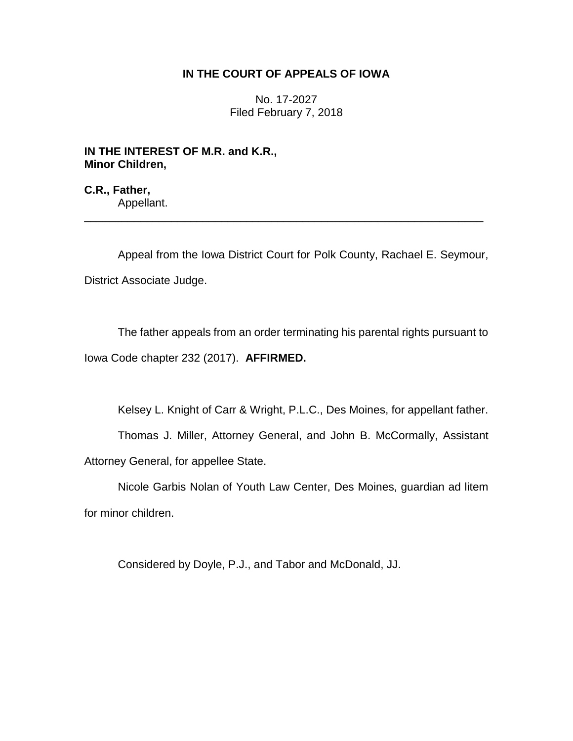## **IN THE COURT OF APPEALS OF IOWA**

No. 17-2027 Filed February 7, 2018

**IN THE INTEREST OF M.R. and K.R., Minor Children,**

**C.R., Father,** Appellant.

Appeal from the Iowa District Court for Polk County, Rachael E. Seymour, District Associate Judge.

\_\_\_\_\_\_\_\_\_\_\_\_\_\_\_\_\_\_\_\_\_\_\_\_\_\_\_\_\_\_\_\_\_\_\_\_\_\_\_\_\_\_\_\_\_\_\_\_\_\_\_\_\_\_\_\_\_\_\_\_\_\_\_\_

The father appeals from an order terminating his parental rights pursuant to Iowa Code chapter 232 (2017). **AFFIRMED.** 

Kelsey L. Knight of Carr & Wright, P.L.C., Des Moines, for appellant father.

Thomas J. Miller, Attorney General, and John B. McCormally, Assistant Attorney General, for appellee State.

Nicole Garbis Nolan of Youth Law Center, Des Moines, guardian ad litem for minor children.

Considered by Doyle, P.J., and Tabor and McDonald, JJ.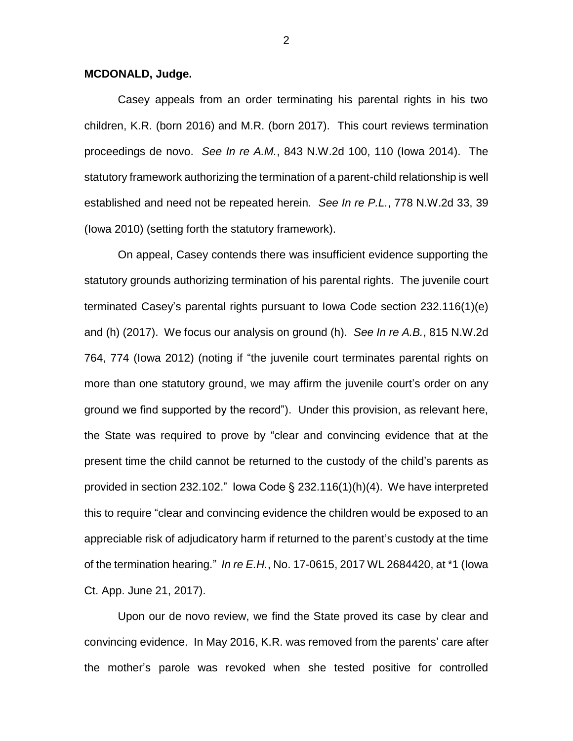## **MCDONALD, Judge.**

Casey appeals from an order terminating his parental rights in his two children, K.R. (born 2016) and M.R. (born 2017). This court reviews termination proceedings de novo. *See In re A.M.*, 843 N.W.2d 100, 110 (Iowa 2014). The statutory framework authorizing the termination of a parent-child relationship is well established and need not be repeated herein. *See In re P.L.*, 778 N.W.2d 33, 39 (Iowa 2010) (setting forth the statutory framework).

On appeal, Casey contends there was insufficient evidence supporting the statutory grounds authorizing termination of his parental rights. The juvenile court terminated Casey's parental rights pursuant to Iowa Code section 232.116(1)(e) and (h) (2017). We focus our analysis on ground (h). *See In re A.B.*, 815 N.W.2d 764, 774 (Iowa 2012) (noting if "the juvenile court terminates parental rights on more than one statutory ground, we may affirm the juvenile court's order on any ground we find supported by the record"). Under this provision, as relevant here, the State was required to prove by "clear and convincing evidence that at the present time the child cannot be returned to the custody of the child's parents as provided in section 232.102." Iowa Code § 232.116(1)(h)(4). We have interpreted this to require "clear and convincing evidence the children would be exposed to an appreciable risk of adjudicatory harm if returned to the parent's custody at the time of the termination hearing." *In re E.H.*, No. 17-0615, 2017 WL 2684420, at \*1 (Iowa Ct. App. June 21, 2017).

Upon our de novo review, we find the State proved its case by clear and convincing evidence. In May 2016, K.R. was removed from the parents' care after the mother's parole was revoked when she tested positive for controlled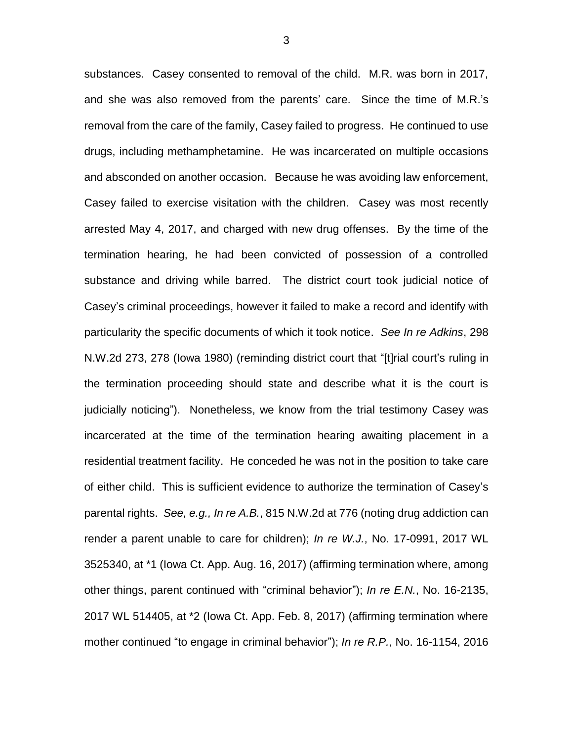substances. Casey consented to removal of the child. M.R. was born in 2017, and she was also removed from the parents' care. Since the time of M.R.'s removal from the care of the family, Casey failed to progress. He continued to use drugs, including methamphetamine. He was incarcerated on multiple occasions and absconded on another occasion. Because he was avoiding law enforcement, Casey failed to exercise visitation with the children. Casey was most recently arrested May 4, 2017, and charged with new drug offenses. By the time of the termination hearing, he had been convicted of possession of a controlled substance and driving while barred. The district court took judicial notice of Casey's criminal proceedings, however it failed to make a record and identify with particularity the specific documents of which it took notice. *See In re Adkins*, 298 N.W.2d 273, 278 (Iowa 1980) (reminding district court that "[t]rial court's ruling in the termination proceeding should state and describe what it is the court is judicially noticing"). Nonetheless, we know from the trial testimony Casey was incarcerated at the time of the termination hearing awaiting placement in a residential treatment facility. He conceded he was not in the position to take care of either child. This is sufficient evidence to authorize the termination of Casey's parental rights. *See, e.g., In re A.B.*, 815 N.W.2d at 776 (noting drug addiction can render a parent unable to care for children); *In re W.J.*, No. 17-0991, 2017 WL 3525340, at \*1 (Iowa Ct. App. Aug. 16, 2017) (affirming termination where, among other things, parent continued with "criminal behavior"); *In re E.N.*, No. 16-2135, 2017 WL 514405, at \*2 (Iowa Ct. App. Feb. 8, 2017) (affirming termination where mother continued "to engage in criminal behavior"); *In re R.P.*, No. 16-1154, 2016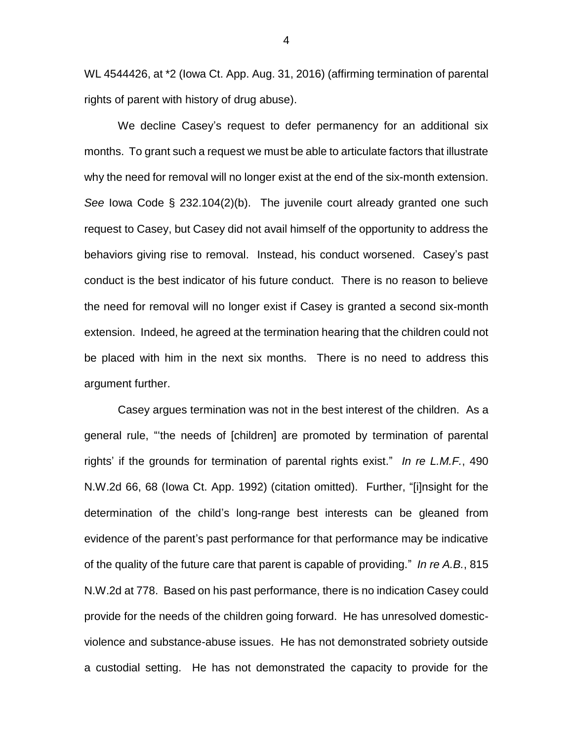WL 4544426, at \*2 (Iowa Ct. App. Aug. 31, 2016) (affirming termination of parental rights of parent with history of drug abuse).

We decline Casey's request to defer permanency for an additional six months. To grant such a request we must be able to articulate factors that illustrate why the need for removal will no longer exist at the end of the six-month extension. *See* Iowa Code § 232.104(2)(b). The juvenile court already granted one such request to Casey, but Casey did not avail himself of the opportunity to address the behaviors giving rise to removal. Instead, his conduct worsened. Casey's past conduct is the best indicator of his future conduct. There is no reason to believe the need for removal will no longer exist if Casey is granted a second six-month extension. Indeed, he agreed at the termination hearing that the children could not be placed with him in the next six months. There is no need to address this argument further.

Casey argues termination was not in the best interest of the children. As a general rule, "'the needs of [children] are promoted by termination of parental rights' if the grounds for termination of parental rights exist." *In re L.M.F.*, 490 N.W.2d 66, 68 (Iowa Ct. App. 1992) (citation omitted). Further, "[i]nsight for the determination of the child's long-range best interests can be gleaned from evidence of the parent's past performance for that performance may be indicative of the quality of the future care that parent is capable of providing." *In re A.B.*, 815 N.W.2d at 778. Based on his past performance, there is no indication Casey could provide for the needs of the children going forward. He has unresolved domesticviolence and substance-abuse issues. He has not demonstrated sobriety outside a custodial setting. He has not demonstrated the capacity to provide for the

4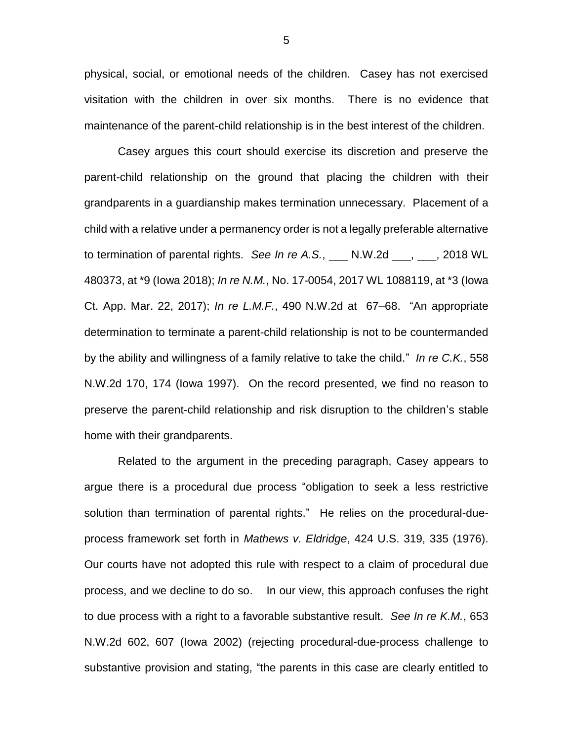physical, social, or emotional needs of the children. Casey has not exercised visitation with the children in over six months. There is no evidence that maintenance of the parent-child relationship is in the best interest of the children.

Casey argues this court should exercise its discretion and preserve the parent-child relationship on the ground that placing the children with their grandparents in a guardianship makes termination unnecessary. Placement of a child with a relative under a permanency order is not a legally preferable alternative to termination of parental rights. *See In re A.S.*, \_\_\_ N.W.2d \_\_\_, \_\_\_, 2018 WL 480373, at \*9 (Iowa 2018); *In re N.M.*, No. 17-0054, 2017 WL 1088119, at \*3 (Iowa Ct. App. Mar. 22, 2017); *In re L.M.F.*, 490 N.W.2d at 67–68. "An appropriate determination to terminate a parent-child relationship is not to be countermanded by the ability and willingness of a family relative to take the child." *In re C.K.*, 558 N.W.2d 170, 174 (Iowa 1997). On the record presented, we find no reason to preserve the parent-child relationship and risk disruption to the children's stable home with their grandparents.

Related to the argument in the preceding paragraph, Casey appears to argue there is a procedural due process "obligation to seek a less restrictive solution than termination of parental rights." He relies on the procedural-dueprocess framework set forth in *Mathews v. Eldridge*, 424 U.S. 319, 335 (1976). Our courts have not adopted this rule with respect to a claim of procedural due process, and we decline to do so. In our view, this approach confuses the right to due process with a right to a favorable substantive result. *See In re K.M.*, 653 N.W.2d 602, 607 (Iowa 2002) (rejecting procedural-due-process challenge to substantive provision and stating, "the parents in this case are clearly entitled to